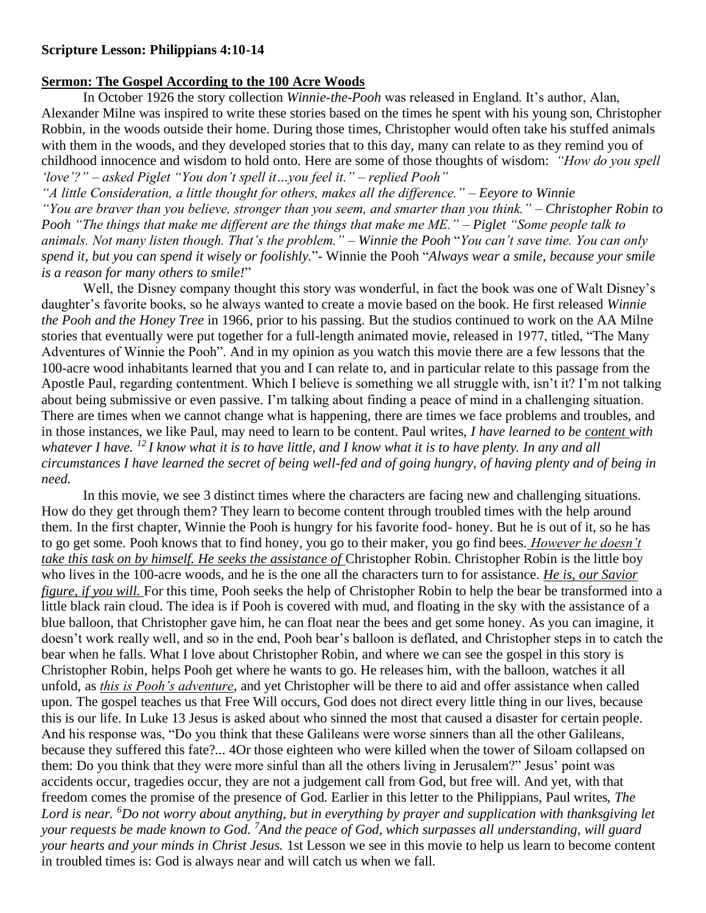## **Scripture Lesson: Philippians 4:10-14**

## **Sermon: The Gospel According to the 100 Acre Woods**

In October 1926 the story collection *Winnie-the-Pooh* was released in England. It's author, Alan, Alexander Milne was inspired to write these stories based on the times he spent with his young son, Christopher Robbin, in the woods outside their home. During those times, Christopher would often take his stuffed animals with them in the woods, and they developed stories that to this day, many can relate to as they remind you of childhood innocence and wisdom to hold onto. Here are some of those thoughts of wisdom: *"How do you spell 'love'?" – asked Piglet "You don't spell it…you feel it." – replied Pooh"*

*"A little Consideration, a little thought for others, makes all the difference." – Eeyore to Winnie "You are braver than you believe, stronger than you seem, and smarter than you think." – Christopher Robin to Pooh "The things that make me different are the things that make me ME." – Piglet "Some people talk to animals. Not many listen though. That's the problem." – Winnie the Pooh* "*You can't save time. You can only spend it, but you can spend it wisely or foolishly.*"- Winnie the Pooh "*Always wear a smile, because your smile is a reason for many others to smile!*"

Well, the Disney company thought this story was wonderful, in fact the book was one of Walt Disney's daughter's favorite books, so he always wanted to create a movie based on the book. He first released *Winnie the Pooh and the Honey Tree* in 1966, prior to his passing. But the studios continued to work on the AA Milne stories that eventually were put together for a full-length animated movie, released in 1977, titled, "The Many Adventures of Winnie the Pooh". And in my opinion as you watch this movie there are a few lessons that the 100-acre wood inhabitants learned that you and I can relate to, and in particular relate to this passage from the Apostle Paul, regarding contentment. Which I believe is something we all struggle with, isn't it? I'm not talking about being submissive or even passive. I'm talking about finding a peace of mind in a challenging situation. There are times when we cannot change what is happening, there are times we face problems and troubles, and in those instances, we like Paul, may need to learn to be content. Paul writes, *I have learned to be content with whatever I have. <sup>12</sup> I know what it is to have little, and I know what it is to have plenty. In any and all circumstances I have learned the secret of being well-fed and of going hungry, of having plenty and of being in need.*

In this movie, we see 3 distinct times where the characters are facing new and challenging situations. How do they get through them? They learn to become content through troubled times with the help around them. In the first chapter, Winnie the Pooh is hungry for his favorite food- honey. But he is out of it, so he has to go get some. Pooh knows that to find honey, you go to their maker, you go find bees. *However he doesn't take this task on by himself. He seeks the assistance of* Christopher Robin. Christopher Robin is the little boy who lives in the 100-acre woods, and he is the one all the characters turn to for assistance. *He is, our Savior figure, if you will.* For this time, Pooh seeks the help of Christopher Robin to help the bear be transformed into a little black rain cloud. The idea is if Pooh is covered with mud, and floating in the sky with the assistance of a blue balloon, that Christopher gave him, he can float near the bees and get some honey. As you can imagine, it doesn't work really well, and so in the end, Pooh bear's balloon is deflated, and Christopher steps in to catch the bear when he falls. What I love about Christopher Robin, and where we can see the gospel in this story is Christopher Robin, helps Pooh get where he wants to go. He releases him, with the balloon, watches it all unfold, as *this is Pooh's adventure*, and yet Christopher will be there to aid and offer assistance when called upon. The gospel teaches us that Free Will occurs, God does not direct every little thing in our lives, because this is our life. In Luke 13 Jesus is asked about who sinned the most that caused a disaster for certain people. And his response was, "Do you think that these Galileans were worse sinners than all the other Galileans, because they suffered this fate?... 4Or those eighteen who were killed when the tower of Siloam collapsed on them: Do you think that they were more sinful than all the others living in Jerusalem?" Jesus' point was accidents occur, tragedies occur, they are not a judgement call from God, but free will. And yet, with that freedom comes the promise of the presence of God. Earlier in this letter to the Philippians, Paul writes, *The Lord is near. <sup>6</sup>Do not worry about anything, but in everything by prayer and supplication with thanksgiving let your requests be made known to God. <sup>7</sup>And the peace of God, which surpasses all understanding, will guard your hearts and your minds in Christ Jesus.* 1st Lesson we see in this movie to help us learn to become content in troubled times is: God is always near and will catch us when we fall.